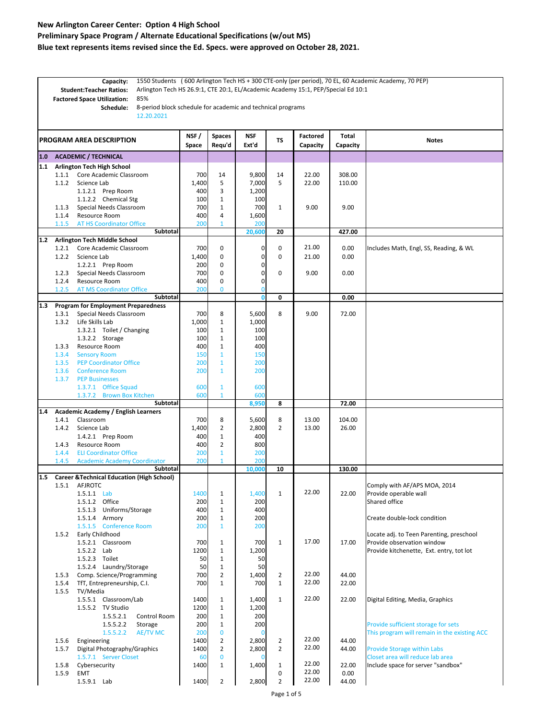**Preliminary Space Program / Alternate Educational Specifications (w/out MS)**

**Blue text represents items revised since the Ed. Specs. were approved on October 28, 2021.**

|     | 1550 Students (600 Arlington Tech HS + 300 CTE-only (per period), 70 EL, 60 Academic Academy, 70 PEP)<br>Capacity:<br>Arlington Tech HS 26.9:1, CTE 20:1, EL/Academic Academy 15:1, PEP/Special Ed 10:1<br><b>Student:Teacher Ratios:</b><br>85%<br><b>Factored Space Utilization:</b><br>8-period block schedule for academic and technical programs<br>Schedule:<br>12.20.2021 |                                                                |                 |                         |                              |                      |                             |                   |              |                                                                        |
|-----|----------------------------------------------------------------------------------------------------------------------------------------------------------------------------------------------------------------------------------------------------------------------------------------------------------------------------------------------------------------------------------|----------------------------------------------------------------|-----------------|-------------------------|------------------------------|----------------------|-----------------------------|-------------------|--------------|------------------------------------------------------------------------|
|     | <b>PROGRAM AREA DESCRIPTION</b>                                                                                                                                                                                                                                                                                                                                                  |                                                                | NSF/<br>Space   | <b>Spaces</b><br>Requ'd | <b>NSF</b><br>Ext'd          | TS                   | <b>Factored</b><br>Capacity | Total<br>Capacity | <b>Notes</b> |                                                                        |
| 1.0 |                                                                                                                                                                                                                                                                                                                                                                                  | <b>ACADEMIC / TECHNICAL</b>                                    |                 |                         |                              |                      |                             |                   |              |                                                                        |
| 1.1 |                                                                                                                                                                                                                                                                                                                                                                                  | Arlington Tech High School                                     |                 |                         |                              |                      |                             |                   |              |                                                                        |
|     | 1.1.1                                                                                                                                                                                                                                                                                                                                                                            | Core Academic Classroom                                        |                 | 700                     | 14                           | 9,800                | 14                          | 22.00             | 308.00       |                                                                        |
|     | 1.1.2                                                                                                                                                                                                                                                                                                                                                                            | Science Lab                                                    |                 | 1,400                   | 5                            | 7,000                | 5                           | 22.00             | 110.00       |                                                                        |
|     |                                                                                                                                                                                                                                                                                                                                                                                  | 1.1.2.1 Prep Room<br>1.1.2.2 Chemical Stg                      |                 | 400<br>100              | 3<br>$\mathbf{1}$            | 1,200<br>100         |                             |                   |              |                                                                        |
|     | 1.1.3                                                                                                                                                                                                                                                                                                                                                                            | Special Needs Classroom                                        |                 | 700                     | $\mathbf{1}$                 | 700                  | $\mathbf{1}$                | 9.00              | 9.00         |                                                                        |
|     | 1.1.4                                                                                                                                                                                                                                                                                                                                                                            | Resource Room                                                  |                 | 400                     | 4                            | 1,600                |                             |                   |              |                                                                        |
|     | 1.1.5                                                                                                                                                                                                                                                                                                                                                                            | <b>AT HS Coordinator Office</b>                                |                 | 200                     | $\mathbf{1}$                 | 200                  |                             |                   |              |                                                                        |
|     |                                                                                                                                                                                                                                                                                                                                                                                  |                                                                | Subtotal        |                         |                              | 20,600               | 20                          |                   | 427.00       |                                                                        |
| 1.2 | 1.2.1                                                                                                                                                                                                                                                                                                                                                                            | <b>Arlington Tech Middle School</b><br>Core Academic Classroom |                 | 700                     | 0                            | $\mathbf 0$          | 0                           | 21.00             | 0.00         | Includes Math, Engl, SS, Reading, & WL                                 |
|     | 1.2.2                                                                                                                                                                                                                                                                                                                                                                            | Science Lab                                                    |                 | 1,400                   | 0                            | $\mathbf 0$          | 0                           | 21.00             | 0.00         |                                                                        |
|     |                                                                                                                                                                                                                                                                                                                                                                                  | 1.2.2.1 Prep Room                                              |                 | 200                     | 0                            | 0                    |                             |                   |              |                                                                        |
|     | 1.2.3                                                                                                                                                                                                                                                                                                                                                                            | Special Needs Classroom                                        |                 | 700                     | 0                            | 0                    | 0                           | 9.00              | 0.00         |                                                                        |
|     | 1.2.4                                                                                                                                                                                                                                                                                                                                                                            | Resource Room                                                  |                 | 400                     | 0                            | $\mathbf 0$          |                             |                   |              |                                                                        |
|     | 1.2.5                                                                                                                                                                                                                                                                                                                                                                            | <b>AT MS Coordinator Office</b>                                | Subtotal        | 200                     | 0                            | $\bf{0}$<br>$\bf{0}$ | 0                           |                   | 0.00         |                                                                        |
| 1.3 |                                                                                                                                                                                                                                                                                                                                                                                  | <b>Program for Employment Preparedness</b>                     |                 |                         |                              |                      |                             |                   |              |                                                                        |
|     | 1.3.1                                                                                                                                                                                                                                                                                                                                                                            | Special Needs Classroom                                        |                 | 700                     | 8                            | 5,600                | 8                           | 9.00              | 72.00        |                                                                        |
|     | 1.3.2                                                                                                                                                                                                                                                                                                                                                                            | Life Skills Lab                                                |                 | 1,000                   | $1\,$                        | 1,000                |                             |                   |              |                                                                        |
|     |                                                                                                                                                                                                                                                                                                                                                                                  | 1.3.2.1 Toilet / Changing                                      |                 | 100                     | $\mathbf{1}$                 | 100                  |                             |                   |              |                                                                        |
|     | 1.3.3                                                                                                                                                                                                                                                                                                                                                                            | 1.3.2.2 Storage<br>Resource Room                               |                 | 100<br>400              | $\mathbf{1}$<br>$\mathbf{1}$ | 100<br>400           |                             |                   |              |                                                                        |
|     | 1.3.4                                                                                                                                                                                                                                                                                                                                                                            | <b>Sensory Room</b>                                            |                 | 150                     | $\mathbf{1}$                 | 150                  |                             |                   |              |                                                                        |
|     | 1.3.5                                                                                                                                                                                                                                                                                                                                                                            | <b>PEP Coordinator Office</b>                                  |                 | 200                     | $\mathbf{1}$                 | 200                  |                             |                   |              |                                                                        |
|     | 1.3.6                                                                                                                                                                                                                                                                                                                                                                            | <b>Conference Room</b>                                         |                 | 200                     | $\mathbf{1}$                 | 200                  |                             |                   |              |                                                                        |
|     | 1.3.7                                                                                                                                                                                                                                                                                                                                                                            | <b>PEP Businesses</b>                                          |                 |                         |                              |                      |                             |                   |              |                                                                        |
|     |                                                                                                                                                                                                                                                                                                                                                                                  | 1.3.7.1 Office Squad                                           |                 | 600                     | $\mathbf{1}$                 | 600                  |                             |                   |              |                                                                        |
|     |                                                                                                                                                                                                                                                                                                                                                                                  | 1.3.7.2 Brown Box Kitchen                                      | Subtotal        | 600                     | $\mathbf{1}$                 | 600<br>8,950         | 8                           |                   | 72.00        |                                                                        |
| 1.4 |                                                                                                                                                                                                                                                                                                                                                                                  | Academic Academy / English Learners                            |                 |                         |                              |                      |                             |                   |              |                                                                        |
|     | 1.4.1                                                                                                                                                                                                                                                                                                                                                                            | Classroom                                                      |                 | 700                     | 8                            | 5,600                | 8                           | 13.00             | 104.00       |                                                                        |
|     | 1.4.2                                                                                                                                                                                                                                                                                                                                                                            | Science Lab                                                    |                 | 1,400                   | 2                            | 2,800                | 2                           | 13.00             | 26.00        |                                                                        |
|     | 1.4.3                                                                                                                                                                                                                                                                                                                                                                            | 1.4.2.1 Prep Room<br>Resource Room                             |                 | 400<br>400              | $1\,$<br>2                   | 400<br>800           |                             |                   |              |                                                                        |
|     | 1.4.4                                                                                                                                                                                                                                                                                                                                                                            | <b>ELI Coordinator Office</b>                                  |                 | 200                     | $\mathbf{1}$                 | 200                  |                             |                   |              |                                                                        |
|     | 1.4.5                                                                                                                                                                                                                                                                                                                                                                            | <b>Academic Academy Coordinator</b>                            |                 | 200                     | $\mathbf{1}$                 | 200                  |                             |                   |              |                                                                        |
|     |                                                                                                                                                                                                                                                                                                                                                                                  |                                                                | Subtotal        |                         |                              | 10,000               | 10                          |                   | 130.00       |                                                                        |
| 1.5 |                                                                                                                                                                                                                                                                                                                                                                                  | <b>Career &amp; Technical Education (High School)</b>          |                 |                         |                              |                      |                             |                   |              |                                                                        |
|     |                                                                                                                                                                                                                                                                                                                                                                                  | 1.5.1 AFJROTC                                                  |                 |                         |                              |                      | $\mathbf{1}$                | 22.00             |              | Comply with AF/APS MOA, 2014                                           |
|     |                                                                                                                                                                                                                                                                                                                                                                                  | 1.5.1.1 Lab<br>1.5.1.2 Office                                  |                 | 1400<br>200             | 1<br>$\mathbf{1}$            | 1,400<br>200         |                             |                   | 22.00        | Provide operable wall<br>Shared office                                 |
|     |                                                                                                                                                                                                                                                                                                                                                                                  | 1.5.1.3 Uniforms/Storage                                       |                 | 400                     | $\mathbf{1}$                 | 400                  |                             |                   |              |                                                                        |
|     |                                                                                                                                                                                                                                                                                                                                                                                  | 1.5.1.4 Armory                                                 |                 | 200                     | $\mathbf{1}$                 | 200                  |                             |                   |              | Create double-lock condition                                           |
|     |                                                                                                                                                                                                                                                                                                                                                                                  | 1.5.1.5 Conference Room                                        |                 | 200                     | $\mathbf{1}$                 | 200                  |                             |                   |              |                                                                        |
|     | 1.5.2                                                                                                                                                                                                                                                                                                                                                                            | Early Childhood                                                |                 |                         |                              |                      |                             | 17.00             |              | Locate adj. to Teen Parenting, preschool                               |
|     |                                                                                                                                                                                                                                                                                                                                                                                  | 1.5.2.1 Classroom<br>1.5.2.2 Lab                               |                 | 700<br>1200             | 1<br>$\mathbf{1}$            | 700<br>1,200         | $\mathbf{1}$                |                   | 17.00        | Provide observation window<br>Provide kitchenette, Ext. entry, tot lot |
|     |                                                                                                                                                                                                                                                                                                                                                                                  | 1.5.2.3 Toilet                                                 |                 | 50                      | $\mathbf{1}$                 | 50                   |                             |                   |              |                                                                        |
|     |                                                                                                                                                                                                                                                                                                                                                                                  | 1.5.2.4 Laundry/Storage                                        |                 | 50                      | $\mathbf 1$                  | 50                   |                             |                   |              |                                                                        |
|     | 1.5.3                                                                                                                                                                                                                                                                                                                                                                            | Comp. Science/Programming                                      |                 | 700                     | $\overline{2}$               | 1,400                | $\overline{2}$              | 22.00             | 44.00        |                                                                        |
|     | 1.5.4                                                                                                                                                                                                                                                                                                                                                                            | TfT, Entrepreneurship, C.I.                                    |                 | 700                     | $\mathbf{1}$                 | 700                  | $\mathbf{1}$                | 22.00             | 22.00        |                                                                        |
|     | 1.5.5                                                                                                                                                                                                                                                                                                                                                                            | TV/Media<br>1.5.5.1 Classroom/Lab                              |                 | 1400                    | $\mathbf{1}$                 | 1,400                | $\mathbf{1}$                | 22.00             | 22.00        | Digital Editing, Media, Graphics                                       |
|     |                                                                                                                                                                                                                                                                                                                                                                                  | 1.5.5.2 TV Studio                                              |                 | 1200                    | $\mathbf{1}$                 | 1,200                |                             |                   |              |                                                                        |
|     |                                                                                                                                                                                                                                                                                                                                                                                  | 1.5.5.2.1                                                      | Control Room    | 200                     | $\mathbf{1}$                 | 200                  |                             |                   |              |                                                                        |
|     |                                                                                                                                                                                                                                                                                                                                                                                  | 1.5.5.2.2                                                      | Storage         | 200                     | $\mathbf{1}$                 | 200                  |                             |                   |              | Provide sufficient storage for sets                                    |
|     |                                                                                                                                                                                                                                                                                                                                                                                  | 1.5.5.2.2                                                      | <b>AE/TV MC</b> | 200                     | $\bf{0}$                     | $\Omega$             |                             |                   |              | This program will remain in the existing ACC                           |
|     | 1.5.6                                                                                                                                                                                                                                                                                                                                                                            | Engineering                                                    |                 | 1400                    | $\overline{2}$               | 2,800                | $\overline{2}$              | 22.00<br>22.00    | 44.00        |                                                                        |
|     | 1.5.7                                                                                                                                                                                                                                                                                                                                                                            | Digital Photography/Graphics<br>1.5.7.1 Server Closet          |                 | 1400<br>60              | $\overline{2}$<br>$\bf{0}$   | 2,800<br>$\Omega$    | $\overline{2}$              |                   | 44.00        | <b>Provide Storage within Labs</b><br>Closet area will reduce lab area |
|     | 1.5.8                                                                                                                                                                                                                                                                                                                                                                            | Cybersecurity                                                  |                 | 1400                    | $\mathbf{1}$                 | 1,400                | $\mathbf{1}$                | 22.00             | 22.00        | Include space for server "sandbox"                                     |
|     | 1.5.9                                                                                                                                                                                                                                                                                                                                                                            | <b>EMT</b>                                                     |                 |                         |                              |                      | 0                           | 22.00             | 0.00         |                                                                        |
|     |                                                                                                                                                                                                                                                                                                                                                                                  | 1.5.9.1 Lab                                                    |                 | 1400                    | $\overline{2}$               | 2,800                | $\overline{2}$              | 22.00             | 44.00        |                                                                        |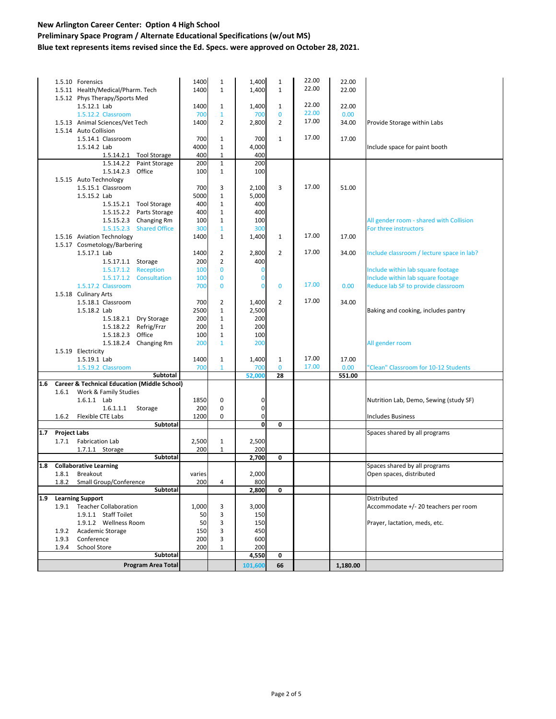#### **Preliminary Space Program / Alternate Educational Specifications (w/out MS) Blue text represents items revised since the Ed. Specs. were approved on October 28, 2021.**

|         |                     | 1.5.10 Forensics                                        |                           | 1400   | $\mathbf{1}$   | 1,400       | $\mathbf{1}$ | 22.00 | 22.00    |                                           |
|---------|---------------------|---------------------------------------------------------|---------------------------|--------|----------------|-------------|--------------|-------|----------|-------------------------------------------|
|         |                     | 1.5.11 Health/Medical/Pharm. Tech                       |                           | 1400   | $\mathbf{1}$   | 1,400       | $\mathbf{1}$ | 22.00 | 22.00    |                                           |
|         |                     | 1.5.12 Phys Therapy/Sports Med                          |                           |        |                |             |              |       |          |                                           |
|         |                     | 1.5.12.1 Lab                                            |                           | 1400   | $\mathbf{1}$   | 1,400       | $\mathbf{1}$ | 22.00 | 22.00    |                                           |
|         |                     | 1.5.12.2 Classroom                                      |                           | 700    | $\mathbf{1}$   | 700         | $\mathbf{0}$ | 22.00 | 0.00     |                                           |
|         |                     | 1.5.13 Animal Sciences/Vet Tech                         |                           | 1400   | $\overline{2}$ | 2,800       | 2            | 17.00 | 34.00    | Provide Storage within Labs               |
|         |                     | 1.5.14 Auto Collision                                   |                           |        |                |             |              |       |          |                                           |
|         |                     | 1.5.14.1 Classroom                                      |                           | 700    | $\mathbf{1}$   | 700         | $\mathbf{1}$ | 17.00 | 17.00    |                                           |
|         |                     | 1.5.14.2 Lab                                            |                           | 4000   | $\mathbf 1$    | 4,000       |              |       |          | Include space for paint booth             |
|         |                     |                                                         | 1.5.14.2.1 Tool Storage   | 400    | $\mathbf{1}$   | 400         |              |       |          |                                           |
|         |                     | 1.5.14.2.2                                              | Paint Storage             | 200    | $\mathbf 1$    | 200         |              |       |          |                                           |
|         |                     | 1.5.14.2.3                                              | Office                    | 100    | $\mathbf{1}$   | 100         |              |       |          |                                           |
|         |                     | 1.5.15 Auto Technology                                  |                           |        |                |             |              |       |          |                                           |
|         |                     | 1.5.15.1 Classroom                                      |                           | 700    | 3              | 2,100       | 3            | 17.00 | 51.00    |                                           |
|         |                     | 1.5.15.2 Lab                                            |                           | 5000   | $\mathbf 1$    | 5,000       |              |       |          |                                           |
|         |                     |                                                         | 1.5.15.2.1 Tool Storage   | 400    | $\mathbf 1$    | 400         |              |       |          |                                           |
|         |                     | 1.5.15.2.2                                              | Parts Storage             | 400    | $\mathbf 1$    | 400         |              |       |          |                                           |
|         |                     | 1.5.15.2.3                                              | Changing Rm               | 100    | $\mathbf 1$    | 100         |              |       |          | All gender room - shared with Collision   |
|         |                     | 1.5.15.2.3                                              | <b>Shared Office</b>      | 300    | $\mathbf{1}$   | 300         |              |       |          | For three instructors                     |
|         |                     |                                                         |                           |        | $\mathbf{1}$   |             | $\mathbf{1}$ | 17.00 |          |                                           |
|         |                     | 1.5.16 Aviation Technology                              |                           | 1400   |                | 1,400       |              |       | 17.00    |                                           |
|         |                     | 1.5.17 Cosmetology/Barbering                            |                           |        |                |             |              | 17.00 |          |                                           |
|         |                     | 1.5.17.1 Lab                                            |                           | 1400   | $\overline{2}$ | 2,800       | 2            |       | 34.00    | Include classroom / lecture space in lab? |
|         |                     | 1.5.17.1.1 Storage                                      |                           | 200    | $\overline{2}$ | 400         |              |       |          |                                           |
|         |                     |                                                         | 1.5.17.1.2 Reception      | 100    | $\bf{0}$       | 0           |              |       |          | Include within lab square footage         |
|         |                     | 1.5.17.1.2                                              | Consultation              | 100    | $\bf{0}$       | 0           |              |       |          | Include within lab square footage         |
|         |                     | 1.5.17.2 Classroom                                      |                           | 700    | $\mathbf 0$    | 0           | $\mathbf{0}$ | 17.00 | 0.00     | Reduce lab SF to provide classroom        |
|         |                     | 1.5.18 Culinary Arts                                    |                           |        |                |             |              |       |          |                                           |
|         |                     | 1.5.18.1 Classroom                                      |                           | 700    | $\overline{2}$ | 1,400       | 2            | 17.00 | 34.00    |                                           |
|         |                     | 1.5.18.2 Lab                                            |                           | 2500   | $\mathbf 1$    | 2,500       |              |       |          | Baking and cooking, includes pantry       |
|         |                     |                                                         | 1.5.18.2.1 Dry Storage    | 200    | $\mathbf 1$    | 200         |              |       |          |                                           |
|         |                     |                                                         | 1.5.18.2.2 Refrig/Frzr    | 200    | $\mathbf 1$    | 200         |              |       |          |                                           |
|         |                     | 1.5.18.2.3                                              | Office                    | 100    | $\mathbf 1$    | 100         |              |       |          |                                           |
|         |                     |                                                         | 1.5.18.2.4 Changing Rm    | 200    | $\mathbf{1}$   | 200         |              |       |          | All gender room                           |
|         |                     | 1.5.19 Electricity                                      |                           |        |                |             |              |       |          |                                           |
|         |                     | 1.5.19.1 Lab                                            |                           | 1400   | $\mathbf{1}$   | 1,400       | $\mathbf{1}$ | 17.00 | 17.00    |                                           |
|         |                     | 1.5.19.2 Classroom                                      |                           | 700    | $\mathbf{1}$   | 700         | $\mathbf{0}$ | 17.00 | 0.00     | 'Clean" Classroom for 10-12 Students      |
|         |                     |                                                         | Subtotal                  |        |                | 52,000      | 28           |       | 551.00   |                                           |
| $1.6\,$ |                     | <b>Career &amp; Technical Education (Middle School)</b> |                           |        |                |             |              |       |          |                                           |
|         | 1.6.1               | Work & Family Studies                                   |                           |        |                |             |              |       |          |                                           |
|         |                     | 1.6.1.1 Lab                                             |                           | 1850   | 0              | 0           |              |       |          | Nutrition Lab, Demo, Sewing (study SF)    |
|         |                     | 1.6.1.1.1                                               | Storage                   | 200    | 0              | 0           |              |       |          |                                           |
|         | 1.6.2               | Flexible CTE Labs                                       |                           | 1200   | 0              | 0           |              |       |          | <b>Includes Business</b>                  |
|         |                     |                                                         | Subtotal                  |        |                | $\mathbf 0$ | 0            |       |          |                                           |
| 1.7     | <b>Project Labs</b> |                                                         |                           |        |                |             |              |       |          | Spaces shared by all programs             |
|         | 1.7.1               | <b>Fabrication Lab</b>                                  |                           | 2,500  | $\mathbf 1$    | 2,500       |              |       |          |                                           |
|         |                     | 1.7.1.1 Storage                                         |                           | 200    | $\mathbf 1$    | 200         |              |       |          |                                           |
|         |                     |                                                         | Subtotal                  |        |                | 2,700       | $\mathbf 0$  |       |          |                                           |
| 1.8     |                     | <b>Collaborative Learning</b>                           |                           |        |                |             |              |       |          | Spaces shared by all programs             |
|         | 1.8.1               | Breakout                                                |                           | varies |                | 2,000       |              |       |          | Open spaces, distributed                  |
|         | 1.8.2               | Small Group/Conference                                  |                           | 200    | 4              | 800         |              |       |          |                                           |
|         |                     |                                                         | Subtotal                  |        |                | 2,800       | 0            |       |          |                                           |
| 1.9     |                     | <b>Learning Support</b>                                 |                           |        |                |             |              |       |          | Distributed                               |
|         |                     | 1.9.1 Teacher Collaboration                             |                           | 1,000  | 3              | 3,000       |              |       |          | Accommodate +/- 20 teachers per room      |
|         |                     | 1.9.1.1 Staff Toilet                                    |                           | 50     | 3              | 150         |              |       |          |                                           |
|         |                     | 1.9.1.2 Wellness Room                                   |                           | 50     | 3              | 150         |              |       |          | Prayer, lactation, meds, etc.             |
|         | 1.9.2               | Academic Storage                                        |                           | 150    | 3              | 450         |              |       |          |                                           |
|         | 1.9.3               | Conference                                              |                           | 200    | 3              | 600         |              |       |          |                                           |
|         | 1.9.4               | School Store                                            |                           | 200    | $1\,$          | 200         |              |       |          |                                           |
|         |                     |                                                         | Subtotal                  |        |                | 4,550       | 0            |       |          |                                           |
|         |                     |                                                         |                           |        |                |             |              |       |          |                                           |
|         |                     |                                                         | <b>Program Area Total</b> |        |                | 101,600     | 66           |       | 1,180.00 |                                           |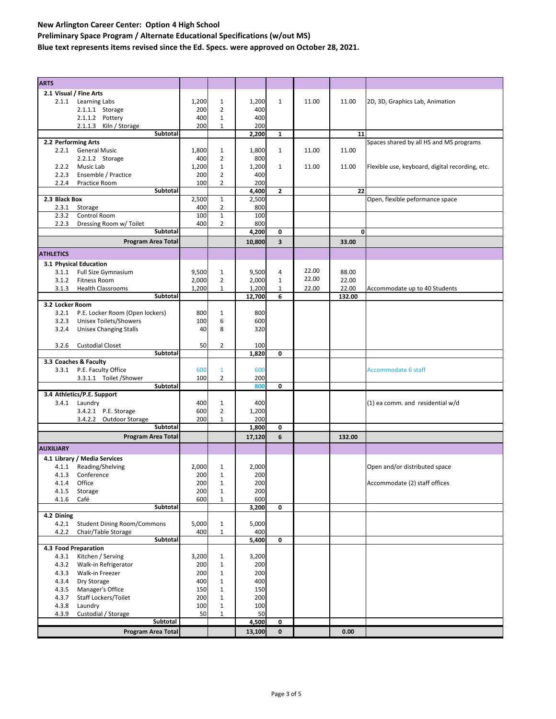**Preliminary Space Program / Alternate Educational Specifications (w/out MS)**

**Blue text represents items revised since the Ed. Specs. were approved on October 28, 2021.**

| <b>ARTS</b>                                     |            |                |        |              |       |        |                                                 |
|-------------------------------------------------|------------|----------------|--------|--------------|-------|--------|-------------------------------------------------|
| 2.1 Visual / Fine Arts                          |            |                |        |              |       |        |                                                 |
| Learning Labs<br>2.1.1                          | 1,200      | $\mathbf{1}$   | 1,200  | $\mathbf{1}$ | 11.00 | 11.00  | 2D, 3D, Graphics Lab, Animation                 |
| 2.1.1.1 Storage                                 | 200        | 2              | 400    |              |       |        |                                                 |
| 2.1.1.2 Pottery                                 | 400        | $\mathbf{1}$   | 400    |              |       |        |                                                 |
| 2.1.1.3 Kiln / Storage                          | 200        | $\mathbf{1}$   | 200    |              |       |        |                                                 |
| Subtotal                                        |            |                | 2,200  | $\mathbf{1}$ |       | 11     |                                                 |
| 2.2 Performing Arts                             |            |                |        |              |       |        | Spaces shared by all HS and MS programs         |
|                                                 |            |                |        |              |       |        |                                                 |
| 2.2.1<br><b>General Music</b>                   | 1,800      | $\mathbf{1}$   | 1,800  | $\mathbf{1}$ | 11.00 | 11.00  |                                                 |
| 2.2.1.2 Storage                                 | 400        | 2              | 800    |              |       |        |                                                 |
| 2.2.2<br>Music Lab                              | 1,200      | $\mathbf{1}$   | 1,200  | $\mathbf{1}$ | 11.00 | 11.00  | Flexible use, keyboard, digital recording, etc. |
| 2.2.3<br>Ensemble / Practice                    | 200        | $\overline{2}$ | 400    |              |       |        |                                                 |
| 2.2.4<br>Practice Room                          | 100        | $\overline{2}$ | 200    |              |       |        |                                                 |
| <b>Subtotal</b>                                 |            |                | 4,400  | $\mathbf{z}$ |       | 22     |                                                 |
| 2.3 Black Box                                   | 2,500      | $\mathbf{1}$   | 2,500  |              |       |        | Open, flexible peformance space                 |
| 2.3.1<br>Storage                                | 400        | 2              | 800    |              |       |        |                                                 |
| Control Room<br>2.3.2                           | 100        | $\mathbf{1}$   | 100    |              |       |        |                                                 |
| 2.2.3<br>Dressing Room w/ Toilet                | 400        | 2              | 800    |              |       |        |                                                 |
| Subtotal                                        |            |                | 4,200  | 0            |       | 0      |                                                 |
| <b>Program Area Total</b>                       |            |                | 10,800 | 3            |       | 33.00  |                                                 |
|                                                 |            |                |        |              |       |        |                                                 |
| <b>ATHLETICS</b>                                |            |                |        |              |       |        |                                                 |
| 3.1 Physical Education                          |            |                |        |              |       |        |                                                 |
| Full Size Gymnasium<br>3.1.1                    | 9,500      | 1              | 9,500  | 4            | 22.00 | 88.00  |                                                 |
| <b>Fitness Room</b><br>3.1.2                    | 2,000      | $\overline{2}$ | 2,000  | $\mathbf{1}$ | 22.00 | 22.00  |                                                 |
| <b>Health Classrooms</b><br>3.1.3               | 1,200      | $\mathbf{1}$   | 1,200  | $\mathbf{1}$ | 22.00 | 22.00  | Accommodate up to 40 Students                   |
| Subtotal                                        |            |                | 12,700 | 6            |       | 132.00 |                                                 |
| 3.2 Locker Room                                 |            |                |        |              |       |        |                                                 |
| 3.2.1                                           | 800        | $\mathbf{1}$   | 800    |              |       |        |                                                 |
| P.E. Locker Room (Open lockers)                 |            |                |        |              |       |        |                                                 |
| 3.2.3<br>Unisex Toilets/Showers                 | 100        | 6              | 600    |              |       |        |                                                 |
| <b>Unisex Changing Stalls</b><br>3.2.4          | 40         | 8              | 320    |              |       |        |                                                 |
|                                                 |            |                |        |              |       |        |                                                 |
| <b>Custodial Closet</b><br>3.2.6                | 50         | 2              | 100    |              |       |        |                                                 |
| Subtotal                                        |            |                | 1,820  | 0            |       |        |                                                 |
| 3.3 Coaches & Faculty                           |            |                |        |              |       |        |                                                 |
| 3.3.1 P.E. Faculty Office                       | 600        | $\mathbf{1}$   | 600    |              |       |        | <b>Accommodate 6 staff</b>                      |
| 3.3.1.1 Toilet / Shower                         | 100        | $\overline{2}$ | 200    |              |       |        |                                                 |
| Subtotal                                        |            |                | 800    | 0            |       |        |                                                 |
| 3.4 Athletics/P.E. Support                      |            |                |        |              |       |        |                                                 |
| Laundry<br>3.4.1                                | 400        | 1              | 400    |              |       |        | (1) ea comm. and residential w/d                |
| 3.4.2.1 P.E. Storage                            | 600        | $\overline{2}$ | 1,200  |              |       |        |                                                 |
| 3.4.2.2 Outdoor Storage                         | 200        | 1              | 200    |              |       |        |                                                 |
| <b>Subtotal</b>                                 |            |                | 1,800  | 0            |       |        |                                                 |
| <b>Program Area Total</b>                       |            |                | 17,120 | 6            |       | 132.00 |                                                 |
|                                                 |            |                |        |              |       |        |                                                 |
| <b>AUXILIARY</b>                                |            |                |        |              |       |        |                                                 |
| 4.1 Library / Media Services                    |            |                |        |              |       |        |                                                 |
| Reading/Shelving<br>4.1.1                       | 2,000      |                |        |              |       |        | Open and/or distributed space                   |
| 4.1.3 Conference                                |            | 1              | 2,000  |              |       |        |                                                 |
|                                                 | 200        | $\mathbf{1}$   | 200    |              |       |        |                                                 |
|                                                 |            | 1              | 200    |              |       |        |                                                 |
| 4.1.4 Office<br>4.1.5<br>Storage                | 200<br>200 | $\mathbf{1}$   | 200    |              |       |        | Accommodate (2) staff offices                   |
| 4.1.6<br>Café                                   | 600        | 1              | 600    |              |       |        |                                                 |
| <b>Subtotal</b>                                 |            |                |        | 0            |       |        |                                                 |
|                                                 |            |                | 3,200  |              |       |        |                                                 |
| 4.2 Dining                                      |            |                |        |              |       |        |                                                 |
| 4.2.1<br><b>Student Dining Room/Commons</b>     | 5,000      | $\mathbf{1}$   | 5,000  |              |       |        |                                                 |
| 4.2.2<br>Chair/Table Storage<br><b>Subtotal</b> | 400        | $\mathbf{1}$   | 400    |              |       |        |                                                 |
|                                                 |            |                | 5,400  | 0            |       |        |                                                 |
| 4.3 Food Preparation                            |            |                |        |              |       |        |                                                 |
| Kitchen / Serving<br>4.3.1                      | 3,200      | $\mathbf{1}$   | 3,200  |              |       |        |                                                 |
| 4.3.2<br>Walk-in Refrigerator                   | 200        | $\mathbf 1$    | 200    |              |       |        |                                                 |
| 4.3.3<br>Walk-in Freezer                        | 200        | $\mathbf{1}$   | 200    |              |       |        |                                                 |
| 4.3.4<br>Dry Storage                            | 400        | $\mathbf 1$    | 400    |              |       |        |                                                 |
| 4.3.5<br>Manager's Office                       | 150        | $1\,$          | 150    |              |       |        |                                                 |
| 4.3.7<br>Staff Lockers/Toilet                   | 200        | $\mathbf 1$    | 200    |              |       |        |                                                 |
| 4.3.8<br>Laundry                                | 100        | 1              | 100    |              |       |        |                                                 |
| 4.3.9<br>Custodial / Storage                    | 50         | $\mathbf 1$    | 50     |              |       |        |                                                 |
| Subtotal                                        |            |                | 4,500  | 0            |       |        |                                                 |
| Program Area Total                              |            |                | 13,100 | 0            |       | 0.00   |                                                 |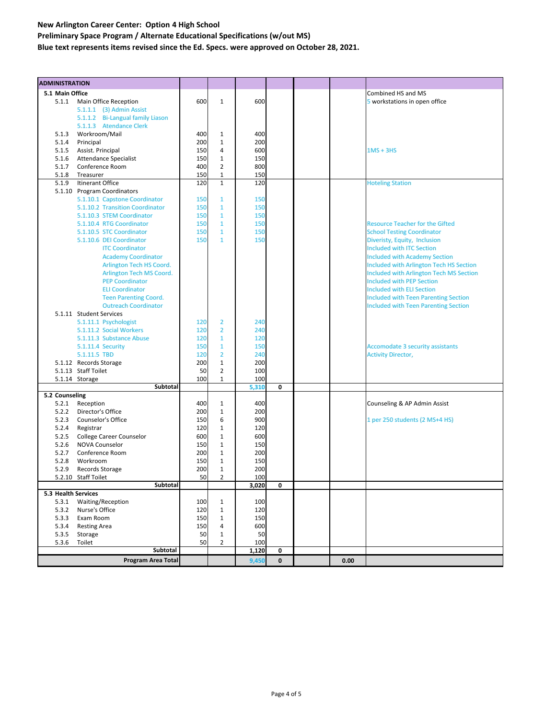### **New Arlington Career Center: Option 4 High School Preliminary Space Program / Alternate Educational Specifications (w/out MS) Blue text represents items revised since the Ed. Specs. were approved on October 28, 2021.**

| <b>ADMINISTRATION</b> |                                        |           |                                |            |              |      |                                             |
|-----------------------|----------------------------------------|-----------|--------------------------------|------------|--------------|------|---------------------------------------------|
| 5.1 Main Office       |                                        |           |                                |            |              |      | Combined HS and MS                          |
|                       | 5.1.1 Main Office Reception            | 600       | $\mathbf{1}$                   | 600        |              |      | 5 workstations in open office               |
|                       | 5.1.1.1 (3) Admin Assist               |           |                                |            |              |      |                                             |
|                       | 5.1.1.2 Bi-Langual family Liason       |           |                                |            |              |      |                                             |
|                       | 5.1.1.3 Atendance Clerk                |           |                                |            |              |      |                                             |
| 5.1.3                 | Workroom/Mail                          | 400       | $\mathbf{1}$                   | 400        |              |      |                                             |
| 5.1.4                 | Principal                              | 200       | $\mathbf{1}$                   | 200        |              |      |                                             |
| 5.1.5                 | Assist. Principal                      | 150       | $\overline{4}$                 | 600        |              |      | $1MS + 3HS$                                 |
| 5.1.6                 | <b>Attendance Specialist</b>           | 150       | $\mathbf 1$                    | 150        |              |      |                                             |
| 5.1.7                 | Conference Room                        | 400       | $\overline{2}$                 | 800        |              |      |                                             |
| 5.1.8                 | Treasurer                              | 150       | $\mathbf{1}$                   | 150        |              |      |                                             |
| 5.1.9                 | Itinerant Office                       | 120       | $\overline{1}$                 | 120        |              |      | <b>Hoteling Station</b>                     |
|                       | 5.1.10 Program Coordinators            |           |                                |            |              |      |                                             |
|                       | 5.1.10.1 Capstone Coordinator          | 150       | $\mathbf{1}$                   | 150        |              |      |                                             |
|                       | 5.1.10.2 Transition Coordinator        | 150       | $\mathbf{1}$                   | 150        |              |      |                                             |
|                       | 5.1.10.3 STEM Coordinator              | 150       | $\mathbf{1}$                   | 150        |              |      |                                             |
|                       | 5.1.10.4 RTG Coordinator               | 150       | $\mathbf{1}$                   | 150        |              |      | <b>Resource Teacher for the Gifted</b>      |
|                       | 5.1.10.5 STC Coordinator               | 150       | $\mathbf{1}$                   | 150        |              |      | <b>School Testing Coordinator</b>           |
|                       | 5.1.10.6 DEI Coordinator               | 150       | $\mathbf{1}$                   | 150        |              |      | Diveristy, Equity, Inclusion                |
|                       | <b>ITC Coordinator</b>                 |           |                                |            |              |      | <b>Included with ITC Section</b>            |
|                       | <b>Academy Coordinator</b>             |           |                                |            |              |      | <b>Included with Academy Section</b>        |
|                       | Arlington Tech HS Coord.               |           |                                |            |              |      | Included with Arlington Tech HS Section     |
|                       | Arlington Tech MS Coord.               |           |                                |            |              |      | Included with Arlington Tech MS Section     |
|                       | <b>PEP Coordinator</b>                 |           |                                |            |              |      | <b>Included with PEP Section</b>            |
|                       | <b>ELI Coordinator</b>                 |           |                                |            |              |      | <b>Included with ELI Section</b>            |
|                       | <b>Teen Parenting Coord.</b>           |           |                                |            |              |      | <b>Included with Teen Parenting Section</b> |
|                       | <b>Outreach Coordinator</b>            |           |                                |            |              |      | <b>Included with Teen Parenting Section</b> |
|                       | 5.1.11 Student Services                |           |                                |            |              |      |                                             |
|                       | 5.1.11.1 Psychologist                  | 120       | $\overline{2}$                 | 240        |              |      |                                             |
|                       | 5.1.11.2 Social Workers                | 120       | $\overline{2}$                 | 240        |              |      |                                             |
|                       | 5.1.11.3 Substance Abuse               | 120       | $\mathbf{1}$                   | 120        |              |      |                                             |
|                       | 5.1.11.4 Security                      | 150       | $\mathbf{1}$                   | 150        |              |      | <b>Accomodate 3 security assistants</b>     |
|                       | 5.1.11.5 TBD                           | 120       | $\overline{2}$                 | 240        |              |      | <b>Activity Director,</b>                   |
|                       | 5.1.12 Records Storage                 | 200       | $\mathbf 1$                    | 200        |              |      |                                             |
|                       | 5.1.13 Staff Toilet                    | 50        | $\overline{2}$                 | 100        |              |      |                                             |
|                       | 5.1.14 Storage                         | 100       | $\mathbf{1}$                   | 100        |              |      |                                             |
|                       | Subtotal                               |           |                                | 5,310      | 0            |      |                                             |
| 5.2 Counseling        |                                        |           |                                |            |              |      |                                             |
| 5.2.1                 | Reception                              | 400       | $\mathbf{1}$                   | 400        |              |      | Counseling & AP Admin Assist                |
| 5.2.2                 | Director's Office                      | 200       | $\mathbf{1}$                   | 200        |              |      |                                             |
| 5.2.3                 | Counselor's Office                     | 150       | 6                              | 900        |              |      | 1 per 250 students (2 MS+4 HS)              |
| 5.2.4                 | Registrar                              | 120       | $\mathbf{1}$                   | 120        |              |      |                                             |
| 5.2.5                 | College Career Counselor               | 600       | $\mathbf{1}$                   | 600        |              |      |                                             |
| 5.2.6                 | <b>NOVA Counselor</b>                  | 150       | $\mathbf{1}$                   | 150        |              |      |                                             |
| 5.2.7                 | Conference Room                        | 200       | $\mathbf{1}$                   | 200        |              |      |                                             |
| 5.2.8                 | Workroom                               | 150       | $\mathbf{1}$                   | 150        |              |      |                                             |
| 5.2.9                 | Records Storage<br>5.2.10 Staff Toilet | 200<br>50 | $\mathbf{1}$<br>$\overline{2}$ | 200<br>100 |              |      |                                             |
|                       | Subtotal                               |           |                                |            | υ            |      |                                             |
| 5.3 Health Services   |                                        |           |                                | 3,020      |              |      |                                             |
| 5.3.1                 | <b>Waiting/Reception</b>               | 100       | 1                              | 100        |              |      |                                             |
|                       | 5.3.2 Nurse's Office                   | 120       | 1                              | 120        |              |      |                                             |
|                       | 5.3.3 Exam Room                        | 150       | $\mathbf{1}$                   | 150        |              |      |                                             |
| 5.3.4                 | <b>Resting Area</b>                    | 150       | 4                              | 600        |              |      |                                             |
| 5.3.5                 | Storage                                | 50        | $\mathbf{1}$                   | 50         |              |      |                                             |
| 5.3.6                 | Toilet                                 | 50        | $\overline{2}$                 | 100        |              |      |                                             |
|                       | Subtotal                               |           |                                | 1,120      | 0            |      |                                             |
|                       | <b>Program Area Total</b>              |           |                                | 9,450      | $\mathbf{0}$ | 0.00 |                                             |
|                       |                                        |           |                                |            |              |      |                                             |